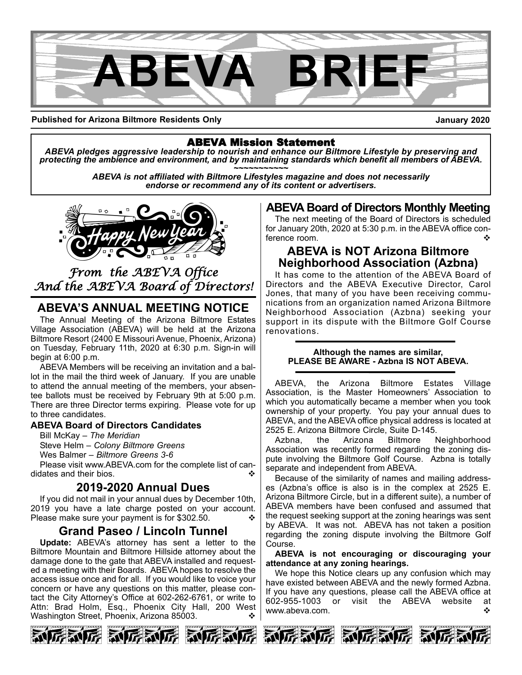

**Published for Arizona Biltmore Residents Only**

**January 2020**

ABEVA Mission Statement *ABEVA pledges aggressive leadership to nourish and enhance our Biltmore Lifestyle by preserving and* protecting the ambience and environment, and by maintaining standards which benefit all members of ABEVA.<br>ABEVA is not affiliated with Biltmore Lifestyles magazine and does not necessarily

*endorse or recommend any of its content or advertisers.*



## *From the ABEVA Office And the ABEVA Board of Directors!*

## **ABEVA'S ANNUAL MEETING NOTICE**

The Annual Meeting of the Arizona Biltmore Estates Village Association (ABEVA) will be held at the Arizona Biltmore Resort (2400 E Missouri Avenue, Phoenix, Arizona) on Tuesday, February 11th, 2020 at 6:30 p.m. Sign-in will begin at 6:00 p.m.

ABEVA Members will be receiving an invitation and a ballot in the mail the third week of January. If you are unable to attend the annual meeting of the members, your absentee ballots must be received by February 9th at 5:00 p.m. There are three Director terms expiring. Please vote for up to three candidates.

### **ABEVA Board of Directors Candidates**

Bill McKay – *The Meridian* Steve Helm – *Colony Biltmore Greens* Wes Balmer – *Biltmore Greens 3-6*

Please visit www.ABEVA.com for the complete list of candidates and their bios.

## **2019-2020 Annual Dues**

If you did not mail in your annual dues by December 10th, 2019 you have a late charge posted on your account. Please make sure your payment is for \$302.50.

## **Grand Paseo / Lincoln Tunnel**

**Update:** ABEVA's attorney has sent a letter to the Biltmore Mountain and Biltmore Hillside attorney about the damage done to the gate that ABEVA installed and requested a meeting with their Boards. ABEVA hopes to resolve the access issue once and for all. If you would like to voice your concern or have any questions on this matter, please contact the City Attorney's Office at 602-262-6761, or write to Attn: Brad Holm, Esq., Phoenix City Hall, 200 West Washington Street, Phoenix, Arizona 85003. v  $\cdot$ 







## **ABEVA Board of Directors Monthly Meeting**

The next meeting of the Board of Directors is scheduled for January 20th, 2020 at 5:30 p.m. in the ABEVA office conference room.

## **ABEVA is NOT Arizona Biltmore Neighborhood Association (Azbna)**

It has come to the attention of the ABEVA Board of Directors and the ABEVA Executive Director, Carol Jones, that many of you have been receiving communications from an organization named Arizona Biltmore Neighborhood Association (Azbna) seeking your support in its dispute with the Biltmore Golf Course renovations.

#### **Although the names are similar, PLEASE BE AWARE - Azbna IS NOT ABEVA.**

ABEVA, the Arizona Biltmore Estates Village Association, is the Master Homeowners' Association to which you automatically became a member when you took ownership of your property. You pay your annual dues to ABEVA, and the ABEVA office physical address is located at 2525 E. Arizona Biltmore Circle, Suite D-145.

Azbna, the Arizona Biltmore Neighborhood Association was recently formed regarding the zoning dispute involving the Biltmore Golf Course. Azbna is totally separate and independent from ABEVA.

Because of the similarity of names and mailing addresses (Azbna's office is also is in the complex at 2525 E. Arizona Biltmore Circle, but in a different suite), a number of ABEVA members have been confused and assumed that the request seeking support at the zoning hearings was sent by ABEVA. It was not. ABEVA has not taken a position regarding the zoning dispute involving the Biltmore Golf Course.

**ABEVA is not encouraging or discouraging your attendance at any zoning hearings.**

We hope this Notice clears up any confusion which may have existed between ABEVA and the newly formed Azbna. If you have any questions, please call the ABEVA office at 602-955-1003 or visit the ABEVA website at www.abeva.com. v





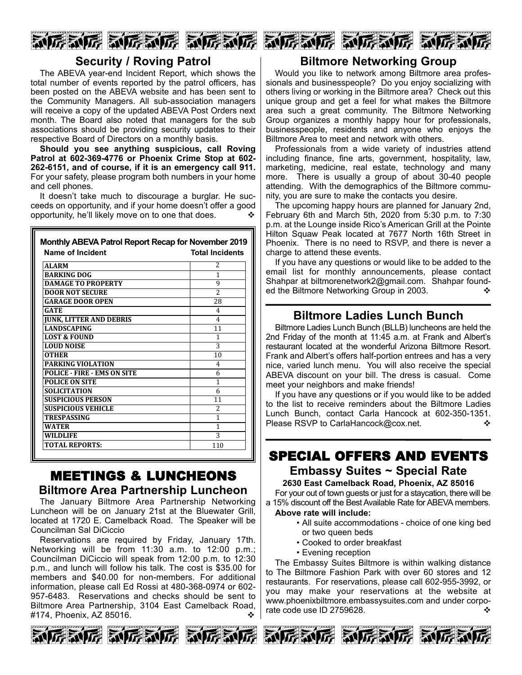

## **Security / Roving Patrol**

The ABEVA year-end Incident Report, which shows the total number of events reported by the patrol officers, has been posted on the ABEVA website and has been sent to the Community Managers. All sub-association managers will receive a copy of the updated ABEVA Post Orders next month. The Board also noted that managers for the sub associations should be providing security updates to their respective Board of Directors on a monthly basis.

**Should you see anything suspicious, call Roving Patrol at 602-369-4776 or Phoenix Crime Stop at 602- 262-6151, and of course, if it is an emergency call 911.** For your safety, please program both numbers in your home and cell phones.

It doesn't take much to discourage a burglar. He succeeds on opportunity, and if your home doesn't offer a good opportunity, he'll likely move on to one that does.  $\cdot\cdot\cdot$ 

#### **Monthly ABEVA Patrol Report Recap for November 2019 Name of Incident Total Incidents**

| <b>ALARM</b>                       | $\overline{\mathcal{L}}$ |
|------------------------------------|--------------------------|
| <b>BARKING DOG</b>                 | 1                        |
| <b>DAMAGE TO PROPERTY</b>          | 9                        |
| <b>DOOR NOT SECURE</b>             | $\overline{\mathcal{L}}$ |
| <b>GARAGE DOOR OPEN</b>            | 28                       |
| <b>GATE</b>                        | 4                        |
| JUNK, LITTER AND DEBRIS            | $\overline{4}$           |
| <b>LANDSCAPING</b>                 | 11                       |
| <b>LOST &amp; FOUND</b>            | 1                        |
| <b>LOUD NOISE</b>                  | 3                        |
| <b>OTHER</b>                       | 10                       |
| <b>PARKING VIOLATION</b>           | $\overline{4}$           |
| <b>POLICE - FIRE - EMS ON SITE</b> | 6                        |
| <b>POLICE ON SITE</b>              | 1                        |
| <b>SOLICITATION</b>                | 6                        |
| <b>SUSPICIOUS PERSON</b>           | 11                       |
| <b>SUSPICIOUS VEHICLE</b>          | $\overline{\mathcal{L}}$ |
| TRESPASSING                        | 1                        |
| WATER                              | 1                        |
| WILDLIFE                           | 3                        |
| TOTAL REPORTS:                     | 110                      |

## MEETINGS & LUNCHEONS **Biltmore Area Partnership Luncheon**

The January Biltmore Area Partnership Networking Luncheon will be on January 21st at the Bluewater Grill, located at 1720 E. Camelback Road. The Speaker will be Councilman Sal DiCiccio

Reservations are required by Friday, January 17th. Networking will be from 11:30 a.m. to 12:00 p.m.; Councilman DiCiccio will speak from 12:00 p.m. to 12:30 p.m., and lunch will follow his talk. The cost is \$35.00 for members and \$40.00 for non-members. For additional information, please call Ed Rossi at 480-368-0974 or 602- 957-6483. Reservations and checks should be sent to Biltmore Area Partnership, 3104 East Camelback Road, #174, Phoenix, AZ 85016. v









## **Biltmore Networking Group**

Would you like to network among Biltmore area professionals and businesspeople? Do you enjoy socializing with others living or working in the Biltmore area? Check out this unique group and get a feel for what makes the Biltmore area such a great community. The Biltmore Networking Group organizes a monthly happy hour for professionals, businesspeople, residents and anyone who enjoys the Biltmore Area to meet and network with others.

Professionals from a wide variety of industries attend including finance, fine arts, government, hospitality, law, marketing, medicine, real estate, technology and many more. There is usually a group of about 30-40 people attending. With the demographics of the Biltmore community, you are sure to make the contacts you desire.

The upcoming happy hours are planned for January 2nd, February 6th and March 5th, 2020 from 5:30 p.m. to 7:30 p.m. at the Lounge inside Rico's American Grill at the Pointe Hilton Squaw Peak located at 7677 North 16th Street in Phoenix. There is no need to RSVP, and there is never a charge to attend these events.

If you have any questions or would like to be added to the email list for monthly announcements, please contact Shahpar at biltmorenetwork2@gmail.com. Shahpar founded the Biltmore Networking Group in 2003.

## **Biltmore Ladies Lunch Bunch**

Biltmore Ladies Lunch Bunch (BLLB) luncheons are held the 2nd Friday of the month at 11:45 a.m. at Frank and Albert's restaurant located at the wonderful Arizona Biltmore Resort. Frank and Albert's offers half-portion entrees and has a very nice, varied lunch menu. You will also receive the special ABEVA discount on your bill. The dress is casual. Come meet your neighbors and make friends!

If you have any questions or if you would like to be added to the list to receive reminders about the Biltmore Ladies Lunch Bunch, contact Carla Hancock at 602-350-1351. Please RSVP to CarlaHancock@cox.net.

## SPECIAL OFFERS AND EVENTS **Embassy Suites ~ Special Rate 2630 East Camelback Road, Phoenix, AZ 85016**

For your out of town guests or just for a staycation, there will be a 15% discount off the Best Available Rate for ABEVA members.

#### **Above rate will include:**

- All suite accommodations choice of one king bed or two queen beds
- Cooked to order breakfast
- Evening reception

The Embassy Suites Biltmore is within walking distance to The Biltmore Fashion Park with over 60 stores and 12 restaurants. For reservations, please call 602-955-3992, or you may make your reservations at the website at www.phoenixbiltmore.embassysuites.com and under corporate code use ID 2759628.  $\bullet$ 



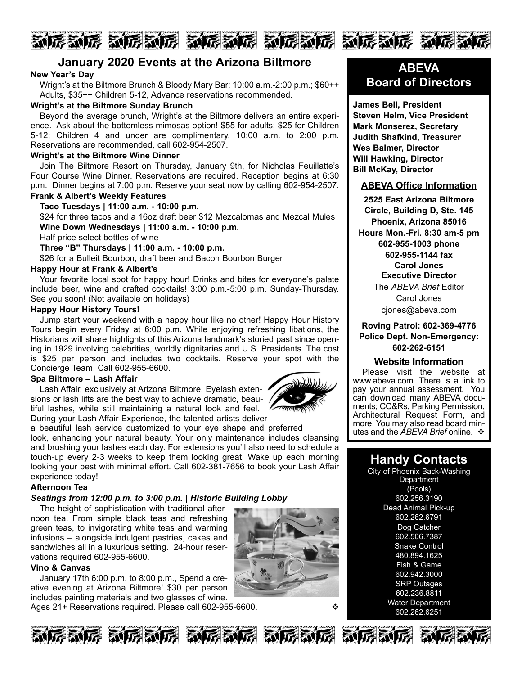# 

## **January 2020 Events at the Arizona Biltmore**

#### **New Year's Day**

Wright's at the Biltmore Brunch & Bloody Mary Bar: 10:00 a.m.-2:00 p.m.; \$60++ Adults, \$35++ Children 5-12, Advance reservations recommended.

#### **Wright's at the Biltmore Sunday Brunch**

Beyond the average brunch, Wright's at the Biltmore delivers an entire experience. Ask about the bottomless mimosas option! \$55 for adults; \$25 for Children 5-12; Children 4 and under are complimentary. 10:00 a.m. to 2:00 p.m. Reservations are recommended, call 602-954-2507.

#### **Wright's at the Biltmore Wine Dinner**

Join The Biltmore Resort on Thursday, January 9th, for Nicholas Feuillatte's Four Course Wine Dinner. Reservations are required. Reception begins at 6:30 p.m. Dinner begins at 7:00 p.m. Reserve your seat now by calling 602-954-2507.

### **Frank & Albert's Weekly Features**

**Taco Tuesdays | 11:00 a.m. - 10:00 p.m.** \$24 for three tacos and a 16oz draft beer \$12 Mezcalomas and Mezcal Mules **Wine Down Wednesdays | 11:00 a.m. - 10:00 p.m.**

Half price select bottles of wine

**Three "B" Thursdays | 11:00 a.m. - 10:00 p.m.**

\$26 for a Bulleit Bourbon, draft beer and Bacon Bourbon Burger

#### **Happy Hour at Frank & Albert's**

Your favorite local spot for happy hour! Drinks and bites for everyone's palate include beer, wine and crafted cocktails! 3:00 p.m.-5:00 p.m. Sunday-Thursday. See you soon! (Not available on holidays)

#### **Happy Hour History Tours!**

Jump start your weekend with a happy hour like no other! Happy Hour History Tours begin every Friday at 6:00 p.m. While enjoying refreshing libations, the Historians will share highlights of this Arizona landmark's storied past since opening in 1929 involving celebrities, worldly dignitaries and U.S. Presidents. The cost is \$25 per person and includes two cocktails. Reserve your spot with the Concierge Team. Call 602-955-6600.

#### **Spa Biltmore – Lash Affair**

Lash Affair, exclusively at Arizona Biltmore. Eyelash extensions or lash lifts are the best way to achieve dramatic, beautiful lashes, while still maintaining a natural look and feel. During your Lash Affair Experience, the talented artists deliver



a beautiful lash service customized to your eye shape and preferred look, enhancing your natural beauty. Your only maintenance includes cleansing and brushing your lashes each day. For extensions you'll also need to schedule a touch-up every 2-3 weeks to keep them looking great. Wake up each morning looking your best with minimal effort. Call 602-381-7656 to book your Lash Affair experience today!

#### **Afternoon Tea**

### *Seatings from 12:00 p.m. to 3:00 p.m. | Historic Building Lobby*

The height of sophistication with traditional afternoon tea. From simple black teas and refreshing green teas, to invigorating white teas and warming infusions – alongside indulgent pastries, cakes and sandwiches all in a luxurious setting. 24-hour reservations required 602-955-6600.

### **Vino & Canvas**

January 17th 6:00 p.m. to 8:00 p.m., Spend a creative evening at Arizona Biltmore! \$30 per person includes painting materials and two glasses of wine.

Ages 21+ Reservations required. Please call 602-955-6600.  $\diamond$ 



## **ABEVA Board of Directors**

**James Bell, President Steven Helm, Vice President Mark Monserez, Secretary Judith Shafkind, Treasurer Wes Balmer, Director Will Hawking, Director Bill McKay, Director**

#### **ABEVA Office Information**

**2525 East Arizona Biltmore Circle, Building D, Ste. 145 Phoenix, Arizona 85016 Hours Mon.-Fri. 8:30 am-5 pm 602-955-1003 phone 602-955-1144 fax Carol Jones Executive Director** The *ABEVA Brief* Editor Carol Jones cjones@abeva.com

#### **Roving Patrol: 602-369-4776 Police Dept. Non-Emergency: 602-262-6151**

#### **Website Information**

Please visit the website at www.abeva.com. There is a link to pay your annual assessment. You<br>can download many ABEVA documents; CC&Rs, Parking Permission, Architectural Request Form, and more. You may also read board minutes and the *ABEVA Brief* online. ❖

## **Handy Contacts**

City of Phoenix Back-Washing **Department** (Pools) 602.256.3190 Dead Animal Pick-up 602.262.6791 Dog Catcher 602.506.7387 **Snake Control** 480.894.1625 Fish & Game 602.942.3000 SRP Outages 602.236.8811 Water Department 602.262.6251